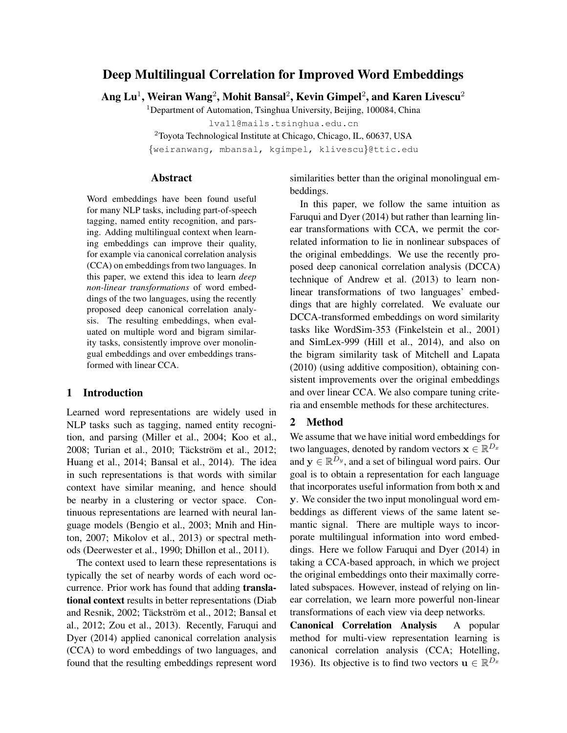# Deep Multilingual Correlation for Improved Word Embeddings

Ang  ${\rm Lu^1}$ , Weiran Wang $^2$ , Mohit Bansal $^2$ , Kevin Gimpel $^2$ , and Karen Livescu $^2$ 

<sup>1</sup>Department of Automation, Tsinghua University, Beijing, 100084, China

lva11@mails.tsinghua.edu.cn

<sup>2</sup>Toyota Technological Institute at Chicago, Chicago, IL, 60637, USA

{weiranwang, mbansal, kgimpel, klivescu}@ttic.edu

## Abstract

Word embeddings have been found useful for many NLP tasks, including part-of-speech tagging, named entity recognition, and parsing. Adding multilingual context when learning embeddings can improve their quality, for example via canonical correlation analysis (CCA) on embeddings from two languages. In this paper, we extend this idea to learn *deep non-linear transformations* of word embeddings of the two languages, using the recently proposed deep canonical correlation analysis. The resulting embeddings, when evaluated on multiple word and bigram similarity tasks, consistently improve over monolingual embeddings and over embeddings transformed with linear CCA.

#### 1 Introduction

Learned word representations are widely used in NLP tasks such as tagging, named entity recognition, and parsing (Miller et al., 2004; Koo et al., 2008; Turian et al., 2010; Täckström et al., 2012; Huang et al., 2014; Bansal et al., 2014). The idea in such representations is that words with similar context have similar meaning, and hence should be nearby in a clustering or vector space. Continuous representations are learned with neural language models (Bengio et al., 2003; Mnih and Hinton, 2007; Mikolov et al., 2013) or spectral methods (Deerwester et al., 1990; Dhillon et al., 2011).

The context used to learn these representations is typically the set of nearby words of each word occurrence. Prior work has found that adding translational context results in better representations (Diab and Resnik, 2002; Täckström et al., 2012; Bansal et al., 2012; Zou et al., 2013). Recently, Faruqui and Dyer (2014) applied canonical correlation analysis (CCA) to word embeddings of two languages, and found that the resulting embeddings represent word similarities better than the original monolingual embeddings.

In this paper, we follow the same intuition as Faruqui and Dyer (2014) but rather than learning linear transformations with CCA, we permit the correlated information to lie in nonlinear subspaces of the original embeddings. We use the recently proposed deep canonical correlation analysis (DCCA) technique of Andrew et al. (2013) to learn nonlinear transformations of two languages' embeddings that are highly correlated. We evaluate our DCCA-transformed embeddings on word similarity tasks like WordSim-353 (Finkelstein et al., 2001) and SimLex-999 (Hill et al., 2014), and also on the bigram similarity task of Mitchell and Lapata (2010) (using additive composition), obtaining consistent improvements over the original embeddings and over linear CCA. We also compare tuning criteria and ensemble methods for these architectures.

## 2 Method

We assume that we have initial word embeddings for two languages, denoted by random vectors  $\mathbf{x} \in \mathbb{R}^{D_x}$ and  $y \in \mathbb{R}^{D_y}$ , and a set of bilingual word pairs. Our goal is to obtain a representation for each language that incorporates useful information from both x and y. We consider the two input monolingual word embeddings as different views of the same latent semantic signal. There are multiple ways to incorporate multilingual information into word embeddings. Here we follow Faruqui and Dyer (2014) in taking a CCA-based approach, in which we project the original embeddings onto their maximally correlated subspaces. However, instead of relying on linear correlation, we learn more powerful non-linear transformations of each view via deep networks.

Canonical Correlation Analysis A popular method for multi-view representation learning is canonical correlation analysis (CCA; Hotelling, 1936). Its objective is to find two vectors  $\mathbf{u} \in \mathbb{R}^{D_x}$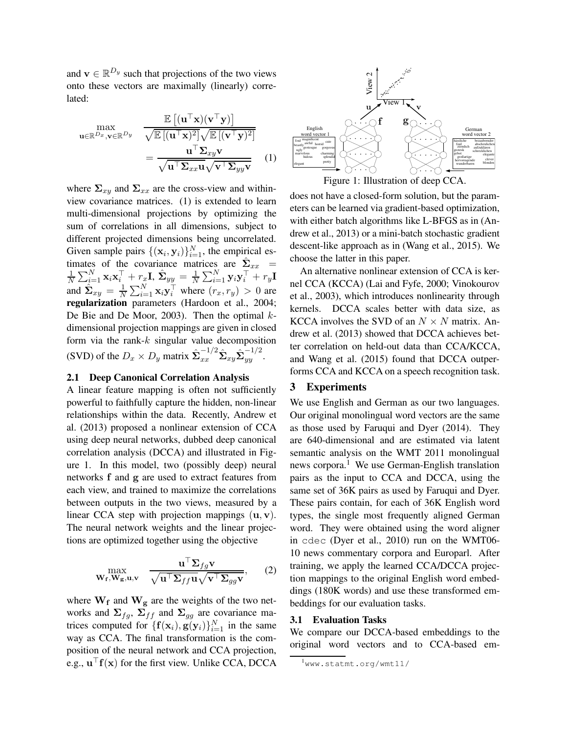and  $\mathbf{v} \in \mathbb{R}^{D_y}$  such that projections of the two views onto these vectors are maximally (linearly) correlated:

$$
\max_{\mathbf{u}\in\mathbb{R}^{D_x},\mathbf{v}\in\mathbb{R}^{D_y}} \frac{\mathbb{E}\left[(\mathbf{u}^\top\mathbf{x})(\mathbf{v}^\top\mathbf{y})\right]}{\sqrt{\mathbb{E}\left[(\mathbf{u}^\top\mathbf{x})^2\right]}\sqrt{\mathbb{E}\left[(\mathbf{v}^\top\mathbf{y})^2\right]}} = \frac{\mathbf{u}^\top\mathbf{\Sigma}_{xy}\mathbf{v}}{\sqrt{\mathbf{u}^\top\mathbf{\Sigma}_{xx}\mathbf{u}}\sqrt{\mathbf{v}^\top\mathbf{\Sigma}_{yy}\mathbf{v}}} \quad (1)
$$

where  $\Sigma_{xy}$  and  $\Sigma_{xx}$  are the cross-view and withinview covariance matrices. (1) is extended to learn multi-dimensional projections by optimizing the sum of correlations in all dimensions, subject to different projected dimensions being uncorrelated. Given sample pairs  $\{(\mathbf{x}_i, \mathbf{y}_i)\}_{i=1}^N$ , the empirical estimates of the covariance matrices are  $\hat{\Sigma}_{xx}$  = 1  $\frac{1}{N}\sum_{i=1}^N\mathbf{x}_i\mathbf{x}_i^\top + r_x\mathbf{I}, \, \hat{\mathbf{\Sigma}}_{yy} = \frac{1}{N}$  $\frac{1}{N}\sum_{i=1}^N \mathbf{y}_i \mathbf{y}_i^\top + r_y \mathbf{I}$ and  $\hat{\Sigma}_{xy} = \frac{1}{N}$  $\frac{1}{N} \sum_{i=1}^{N} \mathbf{x}_i \mathbf{y}_i^{\top}$  where  $(r_x, r_y) > 0$  are regularization parameters (Hardoon et al., 2004; De Bie and De Moor, 2003). Then the optimal  $k$ dimensional projection mappings are given in closed form via the rank- $k$  singular value decomposition (SVD) of the  $D_x \times D_y$  matrix  $\hat{\Sigma}_{xx}^{-1/2} \hat{\Sigma}_{xy} \hat{\Sigma}_{yy}^{-1/2}$ .

### 2.1 Deep Canonical Correlation Analysis

A linear feature mapping is often not sufficiently powerful to faithfully capture the hidden, non-linear relationships within the data. Recently, Andrew et al. (2013) proposed a nonlinear extension of CCA using deep neural networks, dubbed deep canonical correlation analysis (DCCA) and illustrated in Figure 1. In this model, two (possibly deep) neural networks f and g are used to extract features from each view, and trained to maximize the correlations between outputs in the two views, measured by a linear CCA step with projection mappings  $(\mathbf{u}, \mathbf{v})$ . The neural network weights and the linear projections are optimized together using the objective

$$
\max_{\mathbf{W_f}, \mathbf{W_g}, \mathbf{u}, \mathbf{v}} \quad \frac{\mathbf{u}^{\top} \mathbf{\Sigma}_{fg} \mathbf{v}}{\sqrt{\mathbf{u}^{\top} \mathbf{\Sigma}_{ff} \mathbf{u}} \sqrt{\mathbf{v}^{\top} \mathbf{\Sigma}_{gg} \mathbf{v}}},\qquad(2)
$$

where  $W_f$  and  $W_g$  are the weights of the two networks and  $\Sigma_{fg}$ ,  $\Sigma_{ff}$  and  $\Sigma_{gg}$  are covariance matrices computed for  $\{f(\mathbf{x}_i), g(\mathbf{y}_i)\}_{i=1}^N$  in the same way as CCA. The final transformation is the composition of the neural network and CCA projection, e.g.,  $\mathbf{u}^\top \mathbf{f}(\mathbf{x})$  for the first view. Unlike CCA, DCCA



does not have a closed-form solution, but the parameters can be learned via gradient-based optimization, with either batch algorithms like L-BFGS as in (Andrew et al., 2013) or a mini-batch stochastic gradient descent-like approach as in (Wang et al., 2015). We choose the latter in this paper.

An alternative nonlinear extension of CCA is kernel CCA (KCCA) (Lai and Fyfe, 2000; Vinokourov et al., 2003), which introduces nonlinearity through kernels. DCCA scales better with data size, as KCCA involves the SVD of an  $N \times N$  matrix. Andrew et al. (2013) showed that DCCA achieves better correlation on held-out data than CCA/KCCA, and Wang et al. (2015) found that DCCA outperforms CCA and KCCA on a speech recognition task.

#### 3 Experiments

We use English and German as our two languages. Our original monolingual word vectors are the same as those used by Faruqui and Dyer (2014). They are 640-dimensional and are estimated via latent semantic analysis on the WMT 2011 monolingual news corpora.<sup>1</sup> We use German-English translation pairs as the input to CCA and DCCA, using the same set of 36K pairs as used by Faruqui and Dyer. These pairs contain, for each of 36K English word types, the single most frequently aligned German word. They were obtained using the word aligner in cdec (Dyer et al., 2010) run on the WMT06- 10 news commentary corpora and Europarl. After training, we apply the learned CCA/DCCA projection mappings to the original English word embeddings (180K words) and use these transformed embeddings for our evaluation tasks.

## 3.1 Evaluation Tasks

We compare our DCCA-based embeddings to the original word vectors and to CCA-based em-

<sup>1</sup>www.statmt.org/wmt11/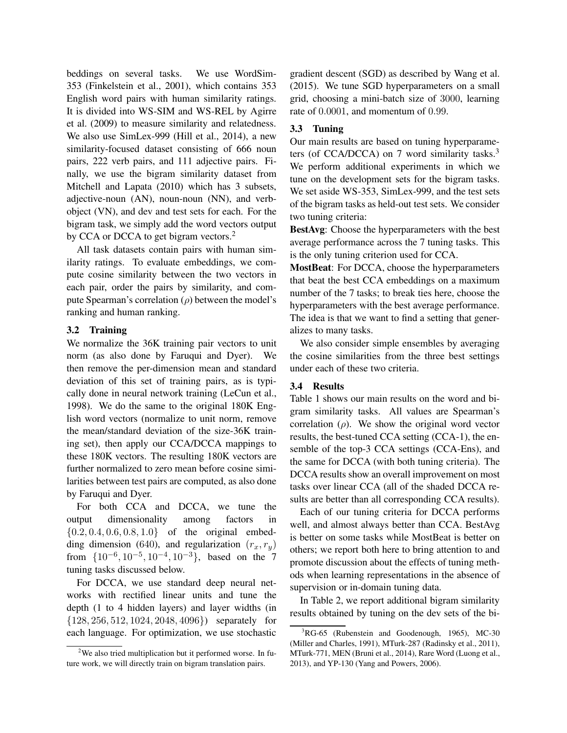beddings on several tasks. We use WordSim-353 (Finkelstein et al., 2001), which contains 353 English word pairs with human similarity ratings. It is divided into WS-SIM and WS-REL by Agirre et al. (2009) to measure similarity and relatedness. We also use SimLex-999 (Hill et al., 2014), a new similarity-focused dataset consisting of 666 noun pairs, 222 verb pairs, and 111 adjective pairs. Finally, we use the bigram similarity dataset from Mitchell and Lapata (2010) which has 3 subsets, adjective-noun (AN), noun-noun (NN), and verbobject (VN), and dev and test sets for each. For the bigram task, we simply add the word vectors output by CCA or DCCA to get bigram vectors.<sup>2</sup>

All task datasets contain pairs with human similarity ratings. To evaluate embeddings, we compute cosine similarity between the two vectors in each pair, order the pairs by similarity, and compute Spearman's correlation  $(\rho)$  between the model's ranking and human ranking.

## 3.2 Training

We normalize the 36K training pair vectors to unit norm (as also done by Faruqui and Dyer). We then remove the per-dimension mean and standard deviation of this set of training pairs, as is typically done in neural network training (LeCun et al., 1998). We do the same to the original 180K English word vectors (normalize to unit norm, remove the mean/standard deviation of the size-36K training set), then apply our CCA/DCCA mappings to these 180K vectors. The resulting 180K vectors are further normalized to zero mean before cosine similarities between test pairs are computed, as also done by Faruqui and Dyer.

For both CCA and DCCA, we tune the output dimensionality among factors in  $\{0.2, 0.4, 0.6, 0.8, 1.0\}$  of the original embedding dimension (640), and regularization  $(r_x, r_y)$ from  $\{10^{-6}, 10^{-5}, 10^{-4}, 10^{-3}\}$ , based on the 7 tuning tasks discussed below.

For DCCA, we use standard deep neural networks with rectified linear units and tune the depth (1 to 4 hidden layers) and layer widths (in {128, 256, 512, 1024, 2048, 4096}) separately for each language. For optimization, we use stochastic

gradient descent (SGD) as described by Wang et al. (2015). We tune SGD hyperparameters on a small grid, choosing a mini-batch size of 3000, learning rate of 0.0001, and momentum of 0.99.

#### 3.3 Tuning

Our main results are based on tuning hyperparameters (of CCA/DCCA) on 7 word similarity tasks. $3$ We perform additional experiments in which we tune on the development sets for the bigram tasks. We set aside WS-353, SimLex-999, and the test sets of the bigram tasks as held-out test sets. We consider two tuning criteria:

BestAvg: Choose the hyperparameters with the best average performance across the 7 tuning tasks. This is the only tuning criterion used for CCA.

MostBeat: For DCCA, choose the hyperparameters that beat the best CCA embeddings on a maximum number of the 7 tasks; to break ties here, choose the hyperparameters with the best average performance. The idea is that we want to find a setting that generalizes to many tasks.

We also consider simple ensembles by averaging the cosine similarities from the three best settings under each of these two criteria.

### 3.4 Results

Table 1 shows our main results on the word and bigram similarity tasks. All values are Spearman's correlation  $(\rho)$ . We show the original word vector results, the best-tuned CCA setting (CCA-1), the ensemble of the top-3 CCA settings (CCA-Ens), and the same for DCCA (with both tuning criteria). The DCCA results show an overall improvement on most tasks over linear CCA (all of the shaded DCCA results are better than all corresponding CCA results).

Each of our tuning criteria for DCCA performs well, and almost always better than CCA. BestAvg is better on some tasks while MostBeat is better on others; we report both here to bring attention to and promote discussion about the effects of tuning methods when learning representations in the absence of supervision or in-domain tuning data.

In Table 2, we report additional bigram similarity results obtained by tuning on the dev sets of the bi-

<sup>&</sup>lt;sup>2</sup>We also tried multiplication but it performed worse. In future work, we will directly train on bigram translation pairs.

 ${}^{3}$ RG-65 (Rubenstein and Goodenough, 1965), MC-30 (Miller and Charles, 1991), MTurk-287 (Radinsky et al., 2011), MTurk-771, MEN (Bruni et al., 2014), Rare Word (Luong et al., 2013), and YP-130 (Yang and Powers, 2006).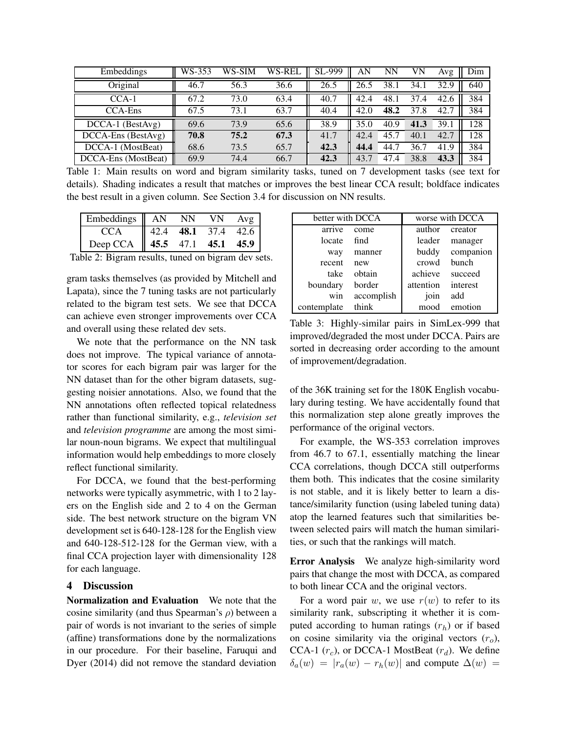| Embeddings            | WS-353 | WS-SIM | WS-REL | SL-999 | AN   | NΝ   | VN   | Avg  | Dim |
|-----------------------|--------|--------|--------|--------|------|------|------|------|-----|
| Original              | 46.7   | 56.3   | 36.6   | 26.5   | 26.5 | 38.1 | 34.1 | 32.9 | 640 |
| $CCA-1$               | 67.2   | 73.0   | 63.4   | 40.7   | 42.4 | 48.1 | 37.4 | 42.6 | 384 |
| <b>CCA-Ens</b>        | 67.5   | 73.1   | 63.7   | 40.4   | 42.0 | 48.2 | 37.8 | 42.7 | 384 |
| $DCCA-1$ (BestAvg)    | 69.6   | 73.9   | 65.6   | 38.9   | 35.0 | 40.9 | 41.3 | 39.1 | 128 |
| $DCCA$ -Ens (BestAvg) | 70.8   | 75.2   | 67.3   | 41.7   | 42.4 | 45.7 | 40.1 | 42.7 | 128 |
| DCCA-1 (MostBeat)     | 68.6   | 73.5   | 65.7   | 42.3   | 44.4 | 44.7 | 36.7 | 41.9 | 384 |
| DCCA-Ens (MostBeat)   | 69.9   | 74.4   | 66.7   | 42.3   | 43.7 | 47.4 | 38.8 | 43.3 | 384 |

Table 1: Main results on word and bigram similarity tasks, tuned on 7 development tasks (see text for details). Shading indicates a result that matches or improves the best linear CCA result; boldface indicates the best result in a given column. See Section 3.4 for discussion on NN results.

| Embeddings $\parallel$ AN |                       | NΝ | VN.       |      |
|---------------------------|-----------------------|----|-----------|------|
| CCA                       | 42.4                  |    | 48.1 37.4 | 42.6 |
| Deep CCA                  | $\parallel$ 45.5 47.1 |    | 45.1      | 45.9 |

Table 2: Bigram results, tuned on bigram dev sets.

gram tasks themselves (as provided by Mitchell and Lapata), since the 7 tuning tasks are not particularly related to the bigram test sets. We see that DCCA can achieve even stronger improvements over CCA and overall using these related dev sets.

We note that the performance on the NN task does not improve. The typical variance of annotator scores for each bigram pair was larger for the NN dataset than for the other bigram datasets, suggesting noisier annotations. Also, we found that the NN annotations often reflected topical relatedness rather than functional similarity, e.g., *television set* and *television programme* are among the most similar noun-noun bigrams. We expect that multilingual information would help embeddings to more closely reflect functional similarity.

For DCCA, we found that the best-performing networks were typically asymmetric, with 1 to 2 layers on the English side and 2 to 4 on the German side. The best network structure on the bigram VN development set is 640-128-128 for the English view and 640-128-512-128 for the German view, with a final CCA projection layer with dimensionality 128 for each language.

#### 4 Discussion

Normalization and Evaluation We note that the cosine similarity (and thus Spearman's  $\rho$ ) between a pair of words is not invariant to the series of simple (affine) transformations done by the normalizations in our procedure. For their baseline, Faruqui and Dyer (2014) did not remove the standard deviation

| better with DCCA |            | worse with DCCA |           |  |  |
|------------------|------------|-----------------|-----------|--|--|
| arrive           | come       | author          | creator   |  |  |
| locate           | find       | leader          | manager   |  |  |
| way              | manner     | buddy           | companion |  |  |
| recent           | new        | crowd           | bunch     |  |  |
| take             | obtain     | achieve         | succeed   |  |  |
| boundary         | border     | attention       | interest  |  |  |
| win              | accomplish | join            | add       |  |  |
| contemplate      | think      | mood            | emotion   |  |  |

Table 3: Highly-similar pairs in SimLex-999 that improved/degraded the most under DCCA. Pairs are sorted in decreasing order according to the amount of improvement/degradation.

of the 36K training set for the 180K English vocabulary during testing. We have accidentally found that this normalization step alone greatly improves the performance of the original vectors.

For example, the WS-353 correlation improves from 46.7 to 67.1, essentially matching the linear CCA correlations, though DCCA still outperforms them both. This indicates that the cosine similarity is not stable, and it is likely better to learn a distance/similarity function (using labeled tuning data) atop the learned features such that similarities between selected pairs will match the human similarities, or such that the rankings will match.

Error Analysis We analyze high-similarity word pairs that change the most with DCCA, as compared to both linear CCA and the original vectors.

For a word pair w, we use  $r(w)$  to refer to its similarity rank, subscripting it whether it is computed according to human ratings  $(r_h)$  or if based on cosine similarity via the original vectors  $(r<sub>o</sub>)$ , CCA-1  $(r_c)$ , or DCCA-1 MostBeat  $(r_d)$ . We define  $\delta_a(w) = |r_a(w) - r_h(w)|$  and compute  $\Delta(w) =$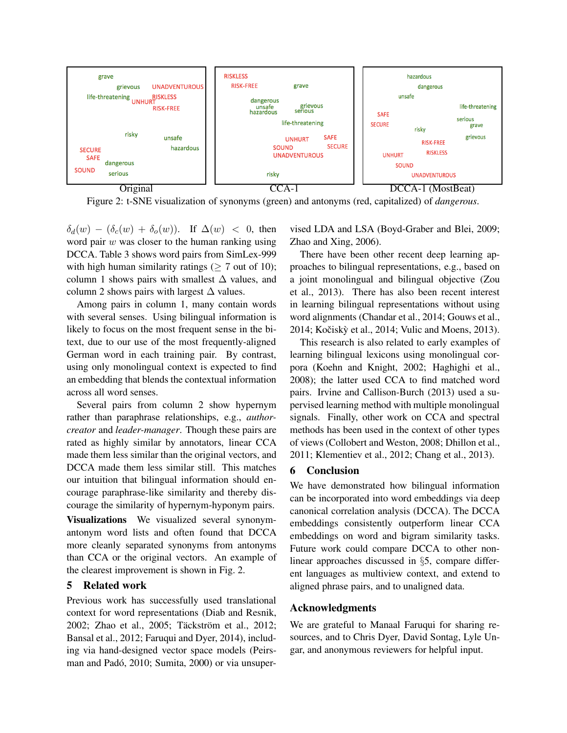

Figure 2: t-SNE visualization of synonyms (green) and antonyms (red, capitalized) of *dangerous*.

 $\delta_d(w) - (\delta_c(w) + \delta_o(w))$ . If  $\Delta(w) < 0$ , then word pair  $w$  was closer to the human ranking using DCCA. Table 3 shows word pairs from SimLex-999 with high human similarity ratings ( $> 7$  out of 10); column 1 shows pairs with smallest  $\Delta$  values, and column 2 shows pairs with largest  $\Delta$  values.

Among pairs in column 1, many contain words with several senses. Using bilingual information is likely to focus on the most frequent sense in the bitext, due to our use of the most frequently-aligned German word in each training pair. By contrast, using only monolingual context is expected to find an embedding that blends the contextual information across all word senses.

Several pairs from column 2 show hypernym rather than paraphrase relationships, e.g., *authorcreator* and *leader-manager*. Though these pairs are rated as highly similar by annotators, linear CCA made them less similar than the original vectors, and DCCA made them less similar still. This matches our intuition that bilingual information should encourage paraphrase-like similarity and thereby discourage the similarity of hypernym-hyponym pairs.

Visualizations We visualized several synonymantonym word lists and often found that DCCA more cleanly separated synonyms from antonyms than CCA or the original vectors. An example of the clearest improvement is shown in Fig. 2.

## 5 Related work

Previous work has successfully used translational context for word representations (Diab and Resnik, 2002; Zhao et al., 2005; Täckström et al., 2012; Bansal et al., 2012; Faruqui and Dyer, 2014), including via hand-designed vector space models (Peirsman and Padó, 2010; Sumita, 2000) or via unsupervised LDA and LSA (Boyd-Graber and Blei, 2009; Zhao and Xing, 2006).

There have been other recent deep learning approaches to bilingual representations, e.g., based on a joint monolingual and bilingual objective (Zou et al., 2013). There has also been recent interest in learning bilingual representations without using word alignments (Chandar et al., 2014; Gouws et al., 2014; Kočiskỳ et al., 2014; Vulic and Moens, 2013).

This research is also related to early examples of learning bilingual lexicons using monolingual corpora (Koehn and Knight, 2002; Haghighi et al., 2008); the latter used CCA to find matched word pairs. Irvine and Callison-Burch (2013) used a supervised learning method with multiple monolingual signals. Finally, other work on CCA and spectral methods has been used in the context of other types of views (Collobert and Weston, 2008; Dhillon et al., 2011; Klementiev et al., 2012; Chang et al., 2013).

## 6 Conclusion

We have demonstrated how bilingual information can be incorporated into word embeddings via deep canonical correlation analysis (DCCA). The DCCA embeddings consistently outperform linear CCA embeddings on word and bigram similarity tasks. Future work could compare DCCA to other nonlinear approaches discussed in §5, compare different languages as multiview context, and extend to aligned phrase pairs, and to unaligned data.

# Acknowledgments

We are grateful to Manaal Faruqui for sharing resources, and to Chris Dyer, David Sontag, Lyle Ungar, and anonymous reviewers for helpful input.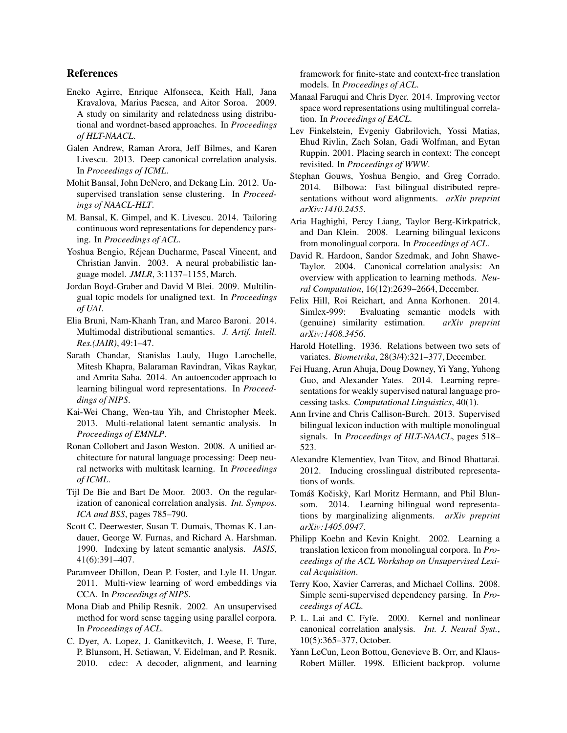#### References

- Eneko Agirre, Enrique Alfonseca, Keith Hall, Jana Kravalova, Marius Pacsca, and Aitor Soroa. 2009. A study on similarity and relatedness using distributional and wordnet-based approaches. In *Proceedings of HLT-NAACL*.
- Galen Andrew, Raman Arora, Jeff Bilmes, and Karen Livescu. 2013. Deep canonical correlation analysis. In *Proceedings of ICML*.
- Mohit Bansal, John DeNero, and Dekang Lin. 2012. Unsupervised translation sense clustering. In *Proceedings of NAACL-HLT*.
- M. Bansal, K. Gimpel, and K. Livescu. 2014. Tailoring continuous word representations for dependency parsing. In *Proceedings of ACL*.
- Yoshua Bengio, Réjean Ducharme, Pascal Vincent, and Christian Janvin. 2003. A neural probabilistic language model. *JMLR*, 3:1137–1155, March.
- Jordan Boyd-Graber and David M Blei. 2009. Multilingual topic models for unaligned text. In *Proceedings of UAI*.
- Elia Bruni, Nam-Khanh Tran, and Marco Baroni. 2014. Multimodal distributional semantics. *J. Artif. Intell. Res.(JAIR)*, 49:1–47.
- Sarath Chandar, Stanislas Lauly, Hugo Larochelle, Mitesh Khapra, Balaraman Ravindran, Vikas Raykar, and Amrita Saha. 2014. An autoencoder approach to learning bilingual word representations. In *Proceeddings of NIPS*.
- Kai-Wei Chang, Wen-tau Yih, and Christopher Meek. 2013. Multi-relational latent semantic analysis. In *Proceedings of EMNLP*.
- Ronan Collobert and Jason Weston. 2008. A unified architecture for natural language processing: Deep neural networks with multitask learning. In *Proceedings of ICML*.
- Tijl De Bie and Bart De Moor. 2003. On the regularization of canonical correlation analysis. *Int. Sympos. ICA and BSS*, pages 785–790.
- Scott C. Deerwester, Susan T. Dumais, Thomas K. Landauer, George W. Furnas, and Richard A. Harshman. 1990. Indexing by latent semantic analysis. *JASIS*, 41(6):391–407.
- Paramveer Dhillon, Dean P. Foster, and Lyle H. Ungar. 2011. Multi-view learning of word embeddings via CCA. In *Proceedings of NIPS*.
- Mona Diab and Philip Resnik. 2002. An unsupervised method for word sense tagging using parallel corpora. In *Proceedings of ACL*.
- C. Dyer, A. Lopez, J. Ganitkevitch, J. Weese, F. Ture, P. Blunsom, H. Setiawan, V. Eidelman, and P. Resnik. 2010. cdec: A decoder, alignment, and learning

framework for finite-state and context-free translation models. In *Proceedings of ACL*.

- Manaal Faruqui and Chris Dyer. 2014. Improving vector space word representations using multilingual correlation. In *Proceedings of EACL*.
- Lev Finkelstein, Evgeniy Gabrilovich, Yossi Matias, Ehud Rivlin, Zach Solan, Gadi Wolfman, and Eytan Ruppin. 2001. Placing search in context: The concept revisited. In *Proceedings of WWW*.
- Stephan Gouws, Yoshua Bengio, and Greg Corrado. 2014. Bilbowa: Fast bilingual distributed representations without word alignments. *arXiv preprint arXiv:1410.2455*.
- Aria Haghighi, Percy Liang, Taylor Berg-Kirkpatrick, and Dan Klein. 2008. Learning bilingual lexicons from monolingual corpora. In *Proceedings of ACL*.
- David R. Hardoon, Sandor Szedmak, and John Shawe-Taylor. 2004. Canonical correlation analysis: An overview with application to learning methods. *Neural Computation*, 16(12):2639–2664, December.
- Felix Hill, Roi Reichart, and Anna Korhonen. 2014. Simlex-999: Evaluating semantic models with (genuine) similarity estimation. *arXiv preprint arXiv:1408.3456*.
- Harold Hotelling. 1936. Relations between two sets of variates. *Biometrika*, 28(3/4):321–377, December.
- Fei Huang, Arun Ahuja, Doug Downey, Yi Yang, Yuhong Guo, and Alexander Yates. 2014. Learning representations for weakly supervised natural language processing tasks. *Computational Linguistics*, 40(1).
- Ann Irvine and Chris Callison-Burch. 2013. Supervised bilingual lexicon induction with multiple monolingual signals. In *Proceedings of HLT-NAACL*, pages 518– 523.
- Alexandre Klementiev, Ivan Titov, and Binod Bhattarai. 2012. Inducing crosslingual distributed representations of words.
- Tomáš Kočiskỳ, Karl Moritz Hermann, and Phil Blunsom. 2014. Learning bilingual word representations by marginalizing alignments. *arXiv preprint arXiv:1405.0947*.
- Philipp Koehn and Kevin Knight. 2002. Learning a translation lexicon from monolingual corpora. In *Proceedings of the ACL Workshop on Unsupervised Lexical Acquisition*.
- Terry Koo, Xavier Carreras, and Michael Collins. 2008. Simple semi-supervised dependency parsing. In *Proceedings of ACL*.
- P. L. Lai and C. Fyfe. 2000. Kernel and nonlinear canonical correlation analysis. *Int. J. Neural Syst.*, 10(5):365–377, October.
- Yann LeCun, Leon Bottou, Genevieve B. Orr, and Klaus-Robert Müller. 1998. Efficient backprop. volume